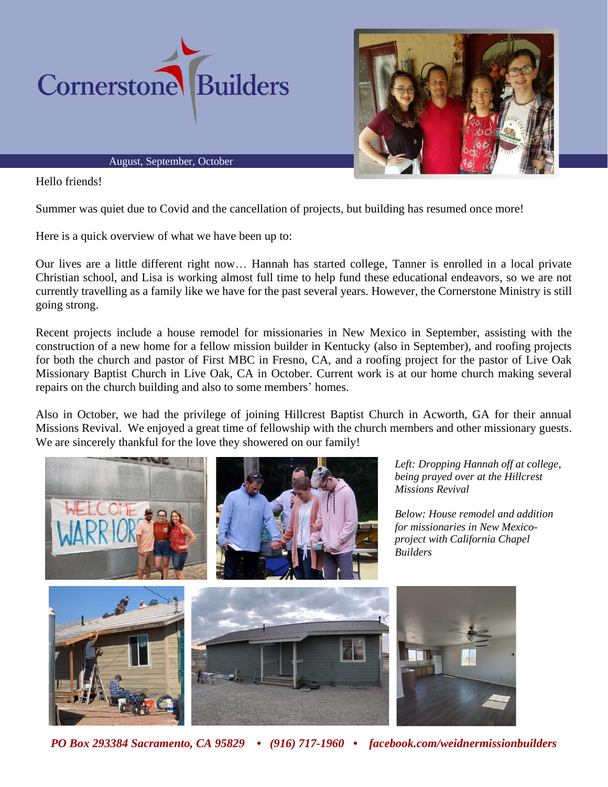



August, September, October

Hello friends!

Summer was quiet due to Covid and the cancellation of projects, but building has resumed once more!

Here is a quick overview of what we have been up to:

Our lives are a little different right now… Hannah has started college, Tanner is enrolled in a local private Christian school, and Lisa is working almost full time to help fund these educational endeavors, so we are not currently travelling as a family like we have for the past several years. However, the Cornerstone Ministry is still going strong.

Recent projects include a house remodel for missionaries in New Mexico in September, assisting with the construction of a new home for a fellow mission builder in Kentucky (also in September), and roofing projects for both the church and pastor of First MBC in Fresno, CA, and a roofing project for the pastor of Live Oak Missionary Baptist Church in Live Oak, CA in October. Current work is at our home church making several repairs on the church building and also to some members' homes.

Also in October, we had the privilege of joining Hillcrest Baptist Church in Acworth, GA for their annual Missions Revival. We enjoyed a great time of fellowship with the church members and other missionary guests. We are sincerely thankful for the love they showered on our family!



*PO Box 293384 Sacramento, CA 95829 • (916) 717-1960 • facebook.com/weidnermissionbuilders*